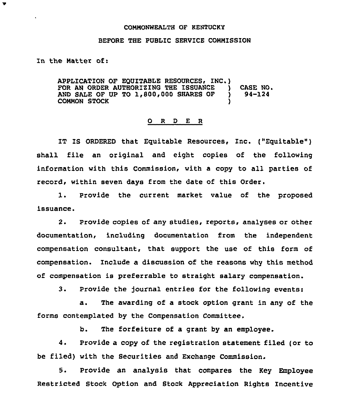## COMMONWEALTH OF KENTUCKY

## BEFORE THE PUBLIC SERVICE COMMISSION

In the Matter of:

 $\overline{\mathbf{v}}$ 

APPLICATION OF EQUITABLE RESOURCES, INC.)<br>FOR AN ORDER AUTHORIZING THE ISSUANCE FOR AN ORDER AUTHORIZING THE ISSUANCE ) CASE NO.<br>AND SALE OF UP TO 1,800,000 SHARES OF ) 94-124 AND SALE OF UP TO  $1,800,000$  SHARES OF  $\bigcirc$ <br>COMMON STOCK COMMON STOCK )

## 0 <sup>R</sup> <sup>D</sup> E <sup>R</sup>

1T IS ORDERED that Equitable Resources, Inc. ("Equitable" ) shall file an original and eight copies of the following information with this Commission, with a copy to all parties of record, within seven days from the date of this Order.

1. Provide the current market value of the proposed issuance.

2. Provide copies of any studies, reports, analyses or other documentation, including documentation from the independent compensation consultant, that support the use of this form of compensation. Include a discussion of the reasons why this method of compensation is preferrable to straight salary compensation.

3. Provide the journal entries for the following events:

a. The awarding of a stock option grant in any of the forms contemplated by the Compensation Committee.

b. The torfeiture of a grant by an employee.

4. Provide a copy of the registration statement filed (or to be filed) with the Securities and Exchange Commission.

5. Provide an analysis that compares the Key Employee Restricted Stock Option and Stock Appreciation Rights Incentive